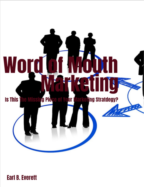

**Earl B. Everett**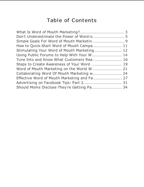# **Table of Contents**

| How to Quick-Start Word of Mouth Campa 11   |  |
|---------------------------------------------|--|
| Stimulating Your Word of Mouth Marketing 12 |  |
| Using Public Forums to Help With Your W 14  |  |
| Tune Into and Know What Customers Rea 16    |  |
| Steps to Create Awareness of Your Word  19  |  |
|                                             |  |
|                                             |  |
|                                             |  |
|                                             |  |
| Should Moms Disclose They're Getting Pa 34  |  |
|                                             |  |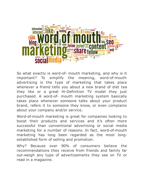

So what exactly is word-of- mouth marketing, and why is it important? To simplify the meaning, word-of-mouth advertising is the type of marketing that takes place whenever a friend tells you about a new brand of diet tea they like or a great Hi-Definition TV model they just purchased. A word-of- mouth marketing system basically takes place whenever someone talks about your product brand, refers it to someone they know, or even complains about your company and/or service.

Word-of-mouth marketing is great for companies looking to boost their products and services and it's often more successful than conventional advertising or social media marketing for a number of reasons. In fact, word-of-mouth marketing has long been regarded as the most longestablished form of selling and promotion.

Why? Because over 90% of consumers believe the recommendations they receive from friends and family far out-weigh any type of advertisements they see on TV or read in a magazine.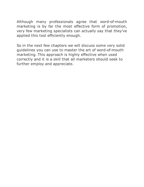Although many professionals agree that word-of-mouth marketing is by far the most effective form of promotion, very few marketing specialists can actually say that they've applied this tool efficiently enough.

So in the next few chapters we will discuss some very solid guidelines you can use to master the art of word-of-mouth marketing. This approach is highly effective when used correctly and it is a skill that all marketers should seek to further employ and appreciate.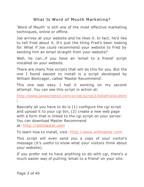# What Is Word of Mouth Marketing?

'Word of Mouth' is still one of the most effective marketing techniques, online or offline.

Joe arrives at your website and he likes it. In fact, he'd like to tell Fred about it. It's just the thing Fred's been looking for. What if Joe could recommend your website to Fred by sending him an email straight from your website?

Well, he can...if you have an 'email to a friend' script installed on your website.

There are many free scripts that will do this for you. But the one I found easiest to install is a script developed by William Bontrager, called 'Master Recommend'.

This one was easy. I had it working on my second attempt. You can see this script in action at:

[http://www.javascriptkit.com/script/script2/tellafriend.shtm](http://www.javascriptkit.com/script/script2/tellafriend.shtml) l

Basically all you have to do is (1) configure the cgi script and upload it to your cgi bin, (2) create a new web page with a form that is linked to the cgi script on your server. You can download Master Recommend at: [http://willmaster.com](http://willmaster.com/master/recommend/mr.pl?v=zip)

To learn how to install, visit: [http://www.willmaster.com](http://www.willmaster.com/master/recommend/MasterRecommend.manual.html)

This script will even send you a copy of your visitor's message (it's useful to know what your visitors think about your website).

If you prefer not to have anything to do with cgi, there's a much easier way of putting 'email to a friend' on your site.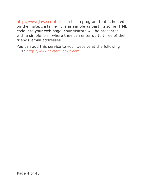<http://www.javascriptkit.com> has a program that is hosted on their site. Installing it is as simple as pasting some HTML code into your web page. Your visitors will be presented with a simple form where they can enter up to three of their friends' email addresses.

You can add this service to your website at the following URL: <http://www.javascriptkit.com>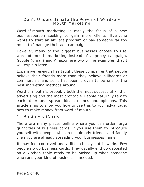#### Don't Underestimate the Power of Word-of-Mouth Marketing

Word-of-mouth marketing is rarely the focus of a new businessperson seeking to gain more clients. Everyone wants to start an affiliate program or pay someone far too much to "manage their add campaign".

However, many of the biggest businesses choose to use word of mouth marketing instead of a pricey campaign. Google (gmail) and Amazon are two prime examples that I will explain later.

Expensive research has taught these companies that people believe their friends more than they believe billboards or commercials and so it has been proven to be one of the best marketing methods around.

Word of mouth is probably both the most successful kind of advertising and the most profitable. People naturally talk to each other and spread ideas, names and opinions. This article aims to show you how to use this to your advantage, how to make money from word of mouth.

# 1. Business Cards

There are many places online where you can order large quantities of business cards. If you use them to introduce yourself with people who aren't already friends and family then you are already spreading your businesses name.

It may feel contrived and a little cheesy but it works. Few people rip up business cards. They usually end up deposited on a kitchen table ready to be picked up when someone who runs your kind of business is needed.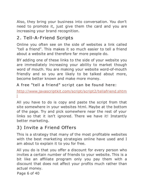Also, they bring your business into conversation. You don't need to promote it, just give them the card and you are increasing your brand recognition.

# 2. Tell-A-Friend Scripts

Online you often see on the side of websites a link called "tell a friend". This makes it so much easier to tell a friend about a website and therefore far more people do.

BY adding one of these links to the side of your website you are immediately increasing your ability to market though word of mouth. You are making your website word-of-mouth friendly and so you are likely to be talked about more, become better known and make more money.

# A free "tell a friend" script can be found here:

[http://www.javascriptkit.com/script/script2/tellafriend.shtm](http://www.javascriptkit.com/script/script2/tellafriend.shtml) l

All you have to do is copy and paste the script from that site somewhere in your websites html. Maybe at the bottom of the page. Try and pick somewhere near the rest of your links so that it isn't ignored. There we have it! Instantly better marketing.

# 3) Invite a Friend Offers

This is a strategy that many of the most profitable websites with the best marketing strategies online have used and I am about to explain it to you for free.

All you do is that you offer a discount for every person who invites a certain number of friends to your website. This is a bit like an affiliate program only you pay them with a discount that does not affect your profits much rather than actual money.

Page 6 of 40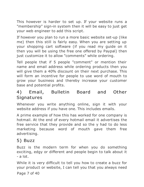This however is harder to set up. If your website runs a "membership" sign-in system then it will be easy to just get your web engineer to add this script.

If however you plan to run a more basic website set-up (like me) then this still is fairly easy. When you are setting up your shopping cart software (if you read my guide on it then you will be using the free one offered by Paypal) then just customize it to allow "comments" while ordering.

Tell people that if 5 people "comment" or mention their name and email address while ordering products then you will give them a 40% discount on their next purchase. This will form an incentive for people to use word of mouth to grow your business and thereby increase your customer base and potential profits.

# 4) Email, Bulletin Board and Other **Signatures**

Whenever you write anything online, sign it with your website address if you have one. This includes emails.

A prime example of how this has worked for one company is hotmail. At the end of every hotmail email it advertises the free service that they provide and so the y had to do less marketing because word of mouth gave them free advertising.

# 5) Buzz

Buzz is the modern term for when you do something exciting, edgy or different and people begin to talk about it - a lot.

While it is very difficult to tell you how to create a buzz for your product or website, I can tell you that you always need

Page 7 of 40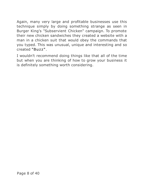Again, many very large and profitable businesses use this technique simply by doing something strange as seen in Burger King's "Subservient Chicken" campaign. To promote their new chicken sandwiches they created a website with a man in a chicken suit that would obey the commands that you typed. This was unusual, unique and interesting and so created "Buzz" .

I wouldn't recommend doing things like that all of the time but when you are thinking of how to grow your business it is definitely something worth considering.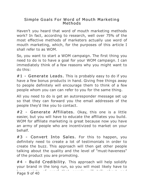#### Simple Goals For Word of Mouth Marketing Methods

Haven't you heard that word of mouth marketing methods work? In fact, according to research, well over 75% of the most effective methods of marketers actually use word of mouth marketing, which, for the purposes of this article I shall refer to as WOM.

So, you want to start a WOM campaign. The first thing you need to do is to have a goal for your WOM campaign. I can immediately think of a few reasons why you might want to do this:

#1 - Generate Leads. This is probably easy to do if you have a few bonus products in hand. Giving free things away to people definitely will encourage them to think of a few people whom you can can refer to you for the same thing.

All you need to do is get an autoresponder message set up so that they can forward you the email addresses of the people they'd like you to contact.

#2 - Generate Affiliates. Okay, this one is a little easier, but you will have to educate the affiliates you build. WOM for affiliate marketing is great because now you have an army of people who are incentivized to market on your behalf.

#3 - Convert Into Sales. For this to happen, you definitely need to create a lot of testimonials in order to create the buzz. This approach will then get other people talking about the quality and the level of "must-haveness" of the product you are promoting.

#4 - Build Credibility. This approach will help solidify your brand in the long run, so you will most likely have to have points of proof that people will talk about and associate with you. This article, for instance is a way to the way to the way to the way to the way to the way Page 9 of 40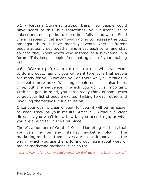#5 - Retain Current Subscribers. Few people would have heard of this, but sometimes, your current list of subscribers need perks to keep them 'alive' and warm. Send them freebies or get a campaign going to increase the buzz amongst them. I have monthly events where different people actually get together and meet each other and chat so that they know who's who instead of a nickname in a forum. This keeps people from opting out of your mailing list!

#6 - Warm up for a product launch. When you want to do a product launch, you will want to ensure that people are ready for you. How can you do this? Well, all it takes is to create more buzz. Warming people on a list also takes time, but the sequence in which you do it is important. With this goal in mind, you can already think of some ways to get your list of people excited, talking to each other and involving themselves in a discussion.

Once your goal is clear enough for you, it will be far easier to keep track of your results. After all, without a clear direction, you won't know how far you need to go, or what you are aiming for in the first place.

There's a number of Word of Mouth Marketing Methods that you can find on any internet marketing blog. The marketing methods themselves are not as important as the way in which you use them. To find out more about word of mouth marketing methods, just go to:

<https://www.referralcandy.com/blog/10-word-of-mouth-marketing-tactics/>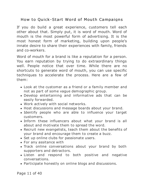# How to Quick-Start Word of Mouth Campaigns

If you do build a great experience, customers tell each other about that. Simply put, it is word of mouth. Word of mouth is the most powerful form of advertising. It is the most honest form of marketing, building upon people's innate desire to share their experiences with family, friends and co-workers.

Word of mouth for a brand is like a reputation for a person. You earn reputation by trying to do extraordinary things well. People notice that over time. While there are no shortcuts to generate word of mouth, you can use specific techniques to accelerate the process. Here are a few of them:

- Look at the customer as a friend or a family member and not as part of some vague demographic group.
- Develop entertaining and informative ads that can be easily forwarded.
- Work actively with social networks.
- Host discussions and message boards about your brand.
- Identify people who are able to influence your target customers.
- Inform these influencers about what your brand is all about and motivate them to spread the word.
- Recruit new evangelists, teach them about the benefits of your brand and encourage them to create a buzz.
- Set up online clubs for passionate users.
- For any assitance with
- Track online conversations about your brand by both supporters and detractors.
- Listen and respond to both positive and negative conversations.
- Participate honestly on online blogs and discussions.

Page 11 of 40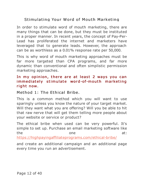# Stimulating Your Word of Mouth Marketing

In order to stimulate word of mouth marketing, there are many things that can be done, but they must be instituted in a proper manner. In recent years, the concept of Pay-Per-Lead has proliferated the internet and marketers have leveraged that to generate leads. However, the approach can be as worthless as a 0.01% response rate per 50,000.

This is why word of mouth marketing approaches must be far more targeted than CPA programs, and far more dynamic than conventional and often simplistic permission marketing approaches.

#### In my opinion, there are at least 2 ways you can immediately stimulate word-of-mouth marketing right now.

#### Method 1: The Ethical Bribe.

This is a common method which you will want to use sparingly unless you know the nature of your target market. Will they want what you are offering? Will you be able to hit that raw nerve that will get them telling more people about your website or service or product?

The ethical bribe when used can be very powerful. It's simple to set up. Purchase an email marketing software like the state one at:

<https://highpayingaffiliateprograms.com/ethical-bribe/>

and create an additional campaign and an additional page every time you run an advertisement.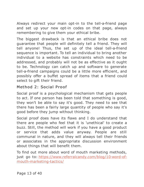Always redirect your main opt-in to the tell-a-friend page and set up your new opt-in codes on that page, always remembering to give them your ethical bribe.

The biggest drawback is that an ethical bribe does not guarantee that people will definitely tell a friend. They will tell anyone! Thus, the set up of the ideal tell-a-friend sequence is important. To tell an individual to bring another individual to a website has constraints which need to be addressed, and probably will not be as effective as it ought to be. Technology can catch up and software to generate tell-a-friend campaigns could be a little more efficient, and possibly offer a buffet spread of items that a friend could select to gift their friend.

# Method 2: Social Proof

Social proof is a psychological mechanism that gets people to act. If one person has been told that something is good, they won't be able to say it's good. They need to see that there has been a fairly large quantity of people who say it's good before they jump without thinking.

Social proof does have its flaws and I do understand that there are people who feel that it is 'unethical' to create a buzz. Still, the method will work if you have a good product or service that adds value anyway. People are still communal in nature, and they will always tell their friends or associates in the appropriate discussion environment about things that will benefit them.

To find out more about word of mouth marketing methods, just go to: [https://www.referralcandy.com/blog/10-word-of](https://www.referralcandy.com/blog/10-word-of-mouth-marketing-tactics/)mouth-marketing-tactics/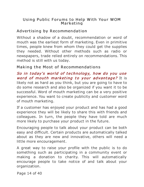#### Using Public Forums to Help With Your WOM Marketing

# Advertising by Recommendation

Without a shadow of a doubt, recommendation or word of mouth was the earliest form of marketing. Even in primitive times, people knew from whom they could get the supplies they needed. Without other methods such as radio or newspapers, trade relied entirely on recommendations. This method is still with us today.

# Making the Most of Recommendations

So in today's world of technology, how do you use word of mouth marketing to your advantage? It is likely not as hard as you think, but you are going to have to do some research and also be organized if you want it to be successful. Word of mouth marketing can be a very positive experience. You want to create publicity and customer word of mouth marketing.

If a customer has enjoyed your product and has had a good experience they will be likely to share this with friends and colleagues. In turn, the people they have told are much more likely to purchase your product in the future.

Encouraging people to talk about your product can be both easy and difficult. Certain products are automatically talked about as they are new and innovative, others will need a little more encouragement.

A great way to raise your profile with the public is to do something such as participating in a community event or making a donation to charity. This will automatically encourage people to take notice of and talk about your organization.

Page 14 of 40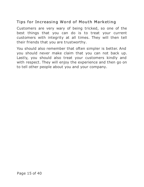# Tips for Increasing Word of Mouth Marketing

Customers are very wary of being tricked, so one of the best things that you can do is to treat your current customers with integrity at all times. They will then tell their friends that you are trustworthy.

You should also remember that often simpler is better. And you should never make claim that you can not back up. Lastly, you should also treat your customers kindly and with respect. They will enjoy the experience and then go on to tell other people about you and your company.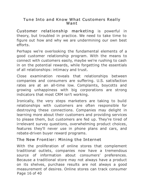#### Tune Into and Know What Customers Really Want

Customer relationship marketing is powerful in theory, but troubled in practice. We need to take time to figure out how and why we are undermining our own best efforts.

Perhaps we're overlooking the fundamental elements of a good customer relationship program. With the means to connect with customers easily, maybe we're rushing to cash in on the potential rewards, while forgetting the essentials of all relationships: intimacy and trust.

Close examination reveals that relationships between companies and consumers are suffering. U.S. satisfaction rates are at an all-time low. Complaints, boycotts and growing unhappiness with big corporations are strong indicators that most CRM isn't working.

Ironically, the very steps marketers are taking to build relationships with customers are often responsible for destroying these connections. Companies may delight in learning more about their customers and providing services to please them, but customers are fed up. They're tired of irrelevant survey questions, overwhelming product choices, features they'll never use in phone plans and cars, and rebate-driven buyer reward programs.

# The New Frontier: Mining the Internet

With the proliferation of online stores that complement traditional outlets, companies now have a tremendous source of information about consumers' preferences. Because a traditional store may not always have a product on its shelves, purchase results are not always a good measurement of desires. Online stores can track consumer Page 16 of 40 as they offer extensively precisely as they offer extensively as they offer extensively as they offer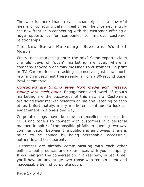The web is more than a sales channel; it is a powerful means of collecting data in real time. The Internet is truly the new frontier in connecting with the customer, offering a huge opportunity for companies to improve customer relationships.

#### The New Social Marketing: Buzz and Word of Mouth

Where does marketing enter the mix? Some experts claim the old days of "push" marketing are over, where a company shoved a one-way message to customers via print or TV. Corporations are asking themselves just how much return on investment there really is from a 30-second Super Bowl commercial.

Consumers are turning away from media and, instead, tuning into each other. Engagement and word of mouth marketing are the buzzwords of this new era. Customers are doing their market research online and listening to each other. Unfortunately, many marketers continue to look at engagement in a one-sided way.

Corporate blogs have become an excellent resource for CEOs and others to connect with customers in a personal manner. In spite of the possible pitfalls in opening two-way communication between the public and employees, there is much to be gained by being personable, accessible, authentic and transparent.

Customers are already communicating with each other online about products and experiences with your company. If you can join the conversation in a real way, in real time, you'll have an advantage over those who remain silent and inaccessible behind corporate doors.

Page 17 of 40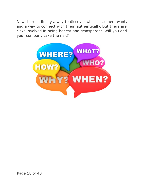Now there is finally a way to discover what customers want, and a way to connect with them authentically. But there are risks involved in being honest and transparent. Will you and your company take the risk?

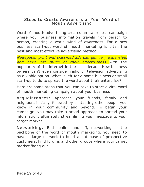#### Steps to Create Awareness of Your Word of Mouth Advertising

Word of mouth advertising creates an awareness campaign where your business information travels from person to person, creating a world wind of awareness. For a new business start-up, word of mouth marketing is often the best and most effective advertising method.

Newspaper print and classified ads can get very expensive, and have lost much of their effectiveness with the popularity of the internet in the past decade. New business owners can't even consider radio or television advertising as a viable option. What is left for a home business or small start-up to do to spread the word about their enterprise?

Here are some steps that you can take to start a viral word of mouth marketing campaign about your business:

Acquaintances: Approach your friends, family and neighbors initially, followed by contacting other people you know in your community and beyond. To begin your campaign, you may take a broad approach to spread your information; ultimately streamlining your message to your target market.

Networking: Both online and off, networking is the backbone of the word of mouth marketing. You need to have a large network to build a database of prospective customers. Find forums and other groups where your target market 'hang out.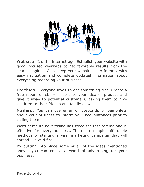

Website: It's the Internet age. Establish your website with good, focused keywords to get favorable results from the search engines. Also, keep your website, user-friendly with easy navigation and complete updated information about everything regarding your business.

Freebies: Everyone loves to get something free. Create a free report or ebook related to your idea or product and give it away to potential customers, asking them to give the item to their friends and family as well.

Mailers: You can use email or postcards or pamphlets about your business to inform your acquaintances prior to calling them.

Word of mouth advertising has stood the test of time and is effective for every business. There are simple, affordable methods of starting a viral marketing campaign that will spread like wild fire.

By putting into place some or all of the ideas mentioned above, you can create a world of advertising for your business.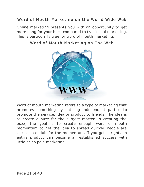# Word of Mouth Marketing on the World Wide Web

Online marketing presents you with an opportunity to get more bang for your buck compared to traditional marketing. This is particularly true for word of mouth marketing.



#### Word of Mouth Marketing on The Web

Word of mouth marketing refers to a type of marketing that promotes something by enticing independent parties to promote the service, idea or product to friends. The idea is to create a buzz for the subject matter. In creating the buzz, the goal is to create enough word of mouth momentum to get the idea to spread quickly. People are the sole conduit for the momentum. If you get it right, an entire product can become an established success with little or no paid marketing.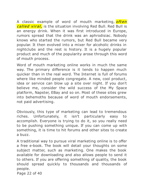A classic example of word of mouth marketing, *often* called viral, is the situation involving Red Bull. Red Bull is an energy drink. When it was first introduced in Europe, rumors spread that the drink was an aphrodisiac. Nobody knows who started the rumors, but Red Bull became very popular. It then evolved into a mixer for alcoholic drinks in nightclubs and the rest is history. It is a hugely popular product and much of the popularity arose through this word of mouth process.

Word of mouth marketing online works in much the same way. The primary difference is it tends to happen much quicker than in the real word. The Internet is full of forums where like minded people congregate. A new, cool product, idea or service can blow up a site over night. If you don't believe me, consider the wild success of the My Space platform, Napster, EBay and so on. Most of these sites grew into behemoths because of word of mouth endorsements, not paid advertising.

Obviously, this type of marketing can lead to tremendous riches. Unfortunately, it isn't particularly easy to accomplish. Everyone is trying to do it, so you really need to be pushing something unique. If you can come up with something, it is time to hit forums and other sites to create a buzz.

A traditional way to pursue viral marketing online is to offer a free e-book. The book will detail your thoughts on some subject matter, such as marketing. One makes the book available for downloading and also allows people to send it to others. If you are offering something of quality, the book should spread quickly to thousands and thousands of people.

Page 22 of 40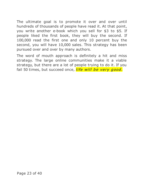The ultimate goal is to promote it over and over until hundreds of thousands of people have read it. At that point, you write another e-book which you sell for \$3 to \$5. If people liked the first book, they will buy the second. If 100,000 read the first one and only 10 percent buy the second, you will have 10,000 sales. This strategy has been pursued over and over by many authors.

The word of mouth approach is definitely a hit and miss strategy. The large online communities make it a viable strategy, but there are a lot of people trying to do it. If you fail 50 times, but succeed once, *life will be very good.*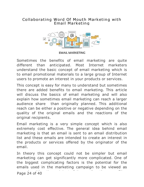#### Collaborating Word Of Mouth Marketing with Email Marketing



**EMAIL MARKETING** 

Sometimes the benefits of email marketing are quite different than anticipated. Most Internet marketers understand the basic concept of email marketing which is to email promotional materials to a large group of Internet users to promote an interest in your products or services.

This concept is easy for many to understand but sometimes there are added benefits to email marketing. This article will discuss the basics of email marketing and will also explain how sometimes email marketing can reach a larger audience share than originally planned. This additional reach can be either a positive or negative depending on the quality of the original emails and the reactions of the original recipients.

Email marketing is a very simple concept which is also extremely cost effective. The general idea behind email marketing is that an email is sent to an email distribution list and these emails are intended to create an interest in the products or services offered by the originator of the email.

In theory this concept could not be simpler but email marketing can get significantly more complicated. One of the biggest complicating factors is the potential for the emails used in the marketing campaign to be viewed as Page 24 of 40 provided by the Internet service provider.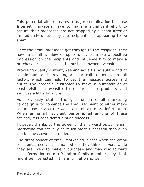This potential alone creates a major complication because Internet marketers have to make a significant effort to assure their messages are not trapped by a spam filter or immediately deleted by the recipients for appearing to be spam.

Once the email messages get through to the recipient, they have a small window of opportunity to make a positive impression on the recipients and influence him to make a purchase or at least visit the business owner's website.

Providing quality content, keeping advertising subtle and at a minimum and providing a clear call to action are all factors which can help to get the message across and entice the potential customer to make a purchase or at least visit the website to research the products and services a little bit more.

As previously stated the goal of an email marketing campaign is to convince the email recipient to either make a purchase or visit the website to obtain more information. When an email recipient performs either one of these actions, it is considered a huge success.

However, thanks to the power of the forward button email marketing can actually be much more successful than even the business owner intended.

The great aspect of email marketing is that when the email recipients receive an email which they think is worthwhile they are likely to make a purchase and may also forward the information onto a friend or family member they think might be interested in this information as well.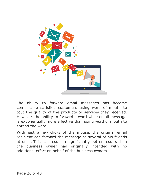

The ability to forward email messages has become comparable satisfied customers using word of mouth to tout the quality of the products or services they received. However, the ability to forward a worthwhile email message is exponentially more effective than using word of mouth to spread the word.

With just a few clicks of the mouse, the original email recipient can forward the message to several of his friends at once. This can result in significantly better results than the business owner had originally intended with no additional effort on behalf of the business owners.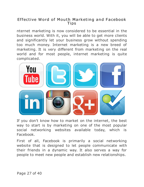#### Effective Word of Mouth Marketing and Facebook Tips

nternet marketing is now considered to be essential in the business world. With it, you will be able to get more clients and significantly let your business grow without spending too much money. Internet marketing is a new breed of marketing. It is very different from marketing on the real world and for most people, internet marketing is quite complicated.



If you don't know how to market on the internet, the best way to start is by marketing on one of the most popular social networking websites available today, which is Facebook.

First of all, Facebook is primarily a social networking website that is designed to let people communicate with their friends in a dynamic way. It also serves a way for people to meet new people and establish new relationships.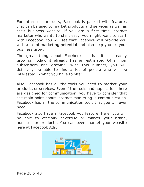For internet marketers, Facebook is packed with features that can be used to market products and services as well as their business website. If you are a first time internet marketer who wants to start easy, you might want to start with Facebook. You will see that Facebook will provide you with a lot of marketing potential and also help you let your business grow.

The great thing about Facebook is that it is steadily growing. Today, it already has an estimated 64 million subscribers and growing. With this number, you will definitely be able to find a lot of people who will be interested in what you have to offer.

Also, Facebook has all the tools you need to market your products or services. Even if the tools and applications here are designed for communication, you have to consider that the main point about internet marketing is communication. Facebook has all the communication tools that you will ever need.

Facebook also have a Facebook Ads feature. Here, you will be able to officially advertise or market your brand, business or products. You can even market your website here at Facebook Ads.

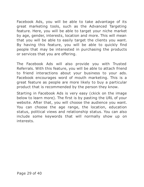Facebook Ads, you will be able to take advantage of its great marketing tools, such as the Advanced Targeting feature. Here, you will be able to target your niche market by age, gender, interests, location and more. This will mean that you will be able to easily target the clients you want. By having this feature, you will be able to quickly find people that may be interested in purchasing the products or services that you are offering.

The Facebook Ads will also provide you with Trusted Referrals. With this feature, you will be able to attach friend to friend interactions about your business to your ads. Facebook encourages word of mouth marketing. This is a great feature as people are more likely to buy a particular product that is recommended by the person they know.

Starting in Facebook Ads is very easy (ckick on the image below to learn more). The first is by pasting the URL of your website. After that, you will choose the audience you want. You can choose the age range, the location, education status, political views and relationship status. You can also include some keywords that will normally show up on interests.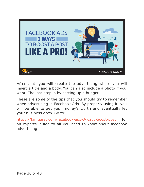

After that, you will create the advertising where you will insert a title and a body. You can also include a photo if you want. The last step is by setting up a budget.

These are some of the tips that you should try to remember when advertising in Facebook Ads. By properly using it, you will be able to get your money's worth and eventually let your business grow. Go to:

[https://kimgarst.com/facebook-ads-3-ways-boost-post](https://kimgarst.com/facebook-ads-3-ways-boost-post-like-pro/) for an experts' guide to all you need to know about facebook advertising.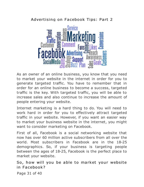# Advertising on Facebook Tips: Part 2



As an owner of an online business, you know that you need to market your website in the internet in order for you to generate targeted traffic. You have to remember that in order for an online business to become a success, targeted traffic is the key. With targeted traffic, you will be able to increase sales and also continue to increase the amount of people entering your website.

Internet marketing is a hard thing to do. You will need to work hard in order for you to effectively attract targeted traffic in your website. However, if you want an easier way to market your business website in the internet, you might want to consider marketing on Facebook.

First of all, Facebook is a social networking website that now has over 60 million active subscribers from all over the world. Most subscribers in Facebook are in the 18-25 demographics. So, if your business is targeting people between the ages of 18-25, Facebook is the perfect place to market your website.

So, how will you be able to market your website in Facebook?

Page 31 of 40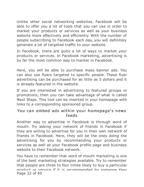Unlike other social networking websites, Facebook will be able to offer you a lot of tools that you can use in order to market your products or services as well as your business website more effectively and efficiently. With the number of people subscribing to Facebook each day, you will definitely generate a lot of targeted traffic to your website.

In Facebook, there are quite a lot of ways to market your products or services. In Facebook marketing, advertising is by far the most common way to market in Facebook.

Here, you will be able to purchase mass banner ads. You can also use flyers targeted to specific people. These flyer advertising can be purchased for as little as 5 dollars and it is already featured in the website.

If you are interested in advertising to featured groups or promotions, then you can take advantage of what is called Next Steps. This tool can be inserted in your homepage with links to a corresponding sponsored group.

#### You can embed ads within your homepage's news feeds

Another way to advertise in Facebook is through word of mouth. Try asking your network of friends in Facebook if they are willing to advertise for you in their own network of friends in Facebook. Here, they will be the ones doing the advertising for you by recommending your products or services as well as your Facebook profile page and business website to their Facebook network.

You have to remember that word of mouth marketing is one of the best marketing strategies available. Try to remember that people are three to four times likely to buy a particular product or service if it is recommended by someone they Page 32 of 40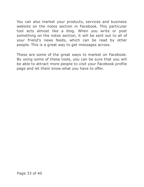You can also market your products, services and business website on the notes section in Facebook. This particular tool acts almost like a blog. When you write or post something on the notes section, it will be sent out to all of your friend's news feeds, which can be read by other people. This is a great way to get messages across.

These are some of the great ways to market on Facebook. By using some of these tools, you can be sure that you will be able to attract more people to visit your Facebook profile page and let them know what you have to offer.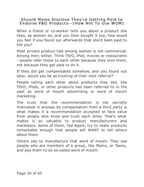#### Should Moms Disclose They're Getting Paid to Endorse P&G Products--(How Not To Use WOM)

When a friend or co-worker tells you about a product she likes, as women do, and you then bought it too, how would you feel if you found out afterwards that she'd been paid to tell you?

Most private product talk among women is not commercial. Among men, either. Think TIVO, iPod, movies or restaurants - people refer those to each other because they love them, not because they get paid to do it.

If they did get compensated somehow, and you found out later, would you be as trusting of their next referral?

People telling each other about products they like, like TIVO, iPods, or other products has been referred to in the past as word of mouth advertising or word of mouth marketing.

The trust that the recommendation is not secretly motivated in anyway by compensation from a third party is what makes it a recommendation accepted at face value from people who know and trust each other. That's what makes it so valuable to product manufacturers and marketers. Some of them, like Apple, try to make products remarkable enough that people will WANT to tell others about them.

Others pay to manufacture that word of mouth. They use people who are members of a group, like Moms, or Teens, and pay them to do so-called word of mouth.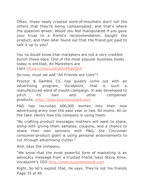Often, these newly created word-of-mouthers don't tell the others that they're being compensated, and that's where the question arises: Would you feel manipulated if you gave your trust to a friend's recommendation, bought the product, and then later found out that the friend got paid to talk it up to you?

You no doubt know that marketers are not a very credible bunch these days. One of the most popular business books today is entitled, All Marketers are Liars <https://youtu.be/AZnYRaQfjK4>

So now, must we add "All Friends are Liars"?

Proctor & Gamble Co. has quietly come out with an advertising program, Vocalpoint, that is such a manufactured word of mouth campaign. It was developed to

pitch its own and other companies' products. <http://www.businessweek.com>

P&G has recruited 600,000 women into their new advertising army over the past year or two. All moms. All on the take. Here's how the company is using them:

"By crafting product messages mothers will want to share, along with giving them samples, coupons, and a chance to share their own opinions with P&G, the Cincinnati consumer-product giant is using personal endorsements to cut through advertising clutter."

And, says the company,

"We know that the most powerful form of marketing is an advocacy message from a trusted friend,"says Steve Knox, Vocalpoint's CEO <http://www.businessweek.com>

Right. So let's exploit that, he says. They're not his friends Page 35 of 40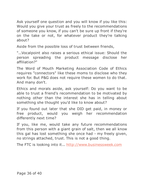Ask yourself one question and you will know if you like this: Would you give your trust as freely to the recommendations of someone you know, if you can't be sure up front if they're on the take or not, for whatever product they're talking about?

Aside from the possible loss of trust between friends,

"...Vocalpoint also raises a serious ethical issue: Should the person spreading the product message disclose her affiliation?"

The Word of Mouth Marketing Association Code of Ethics requires "connectors" like these moms to disclose who they work for. But P&G does not require these women to do that. And many don't.

Ethics and morals aside, ask yourself: Do you want to be able to trust a friend's recommendation to be motivated by nothing other than the interest she has in telling about something she thought you'd like to know about?

If you found out later that she DID get paid, in money or free product, would you weigh her recommendation differently next time?

If you, like me, would take any future recommendations from this person with a giant grain of salt, then we all know this gal has lost something she once had - my freely given, no strings attached, trust. This is not a good thing.

The FTC is looking into it... <http://www.businessweek.com>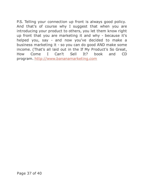P.S. Telling your connection up front is always good policy. And that's of course why I suggest that when you are introducing your product to others, you let them know right up front that you are marketing it and why - because it's helped you, say - and now you've decided to make a business marketing it - so you can do good AND make some income. (That's all laid out in the If My Product's So Great, How Come I Can't Sell It? book and CD program. [http://www.bananamarketing.com](https://digiproductlab.info/ http://www.bananamarketing.com)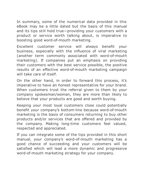In summary, some of the numerical data provided in this eBook may be a little dated but the basis of this manual and its tips still hold true—providing your customers with a product or service worth talking about, is imperative to boosting good word-of-mouth marketing.

Excellent customer service will always benefit your business, especially with the influence of viral marketing (another term commonly associated with word-of-mouth marketing). If companies put an emphasis on providing their customers with the best service possible, the positive results of an effective word-of-mouth marketing campaign will take care of itself.

On the other hand, in order to forward this process, it's imperative to have an honest representative for your brand. When customers trust the referral given to them by your company spokesman/woman, they are more than likely to believe that your products are good and worth buying.

Keeping your most loyal customers close could potentially benefit your company's bottom-line because word-of-mouth marketing is the basis of consumers returning to buy other products and/or services that are offered and provided by the company. Making long-time customers feel valued, respected and appreciated.

If you can integrate some of the tips provided in this short manual, your company's word-of-mouth marketing has a good chance of succeeding and your customers will be satisfied which will lead a more dynamic and progressive word-of-mouth marketing strategy for your company.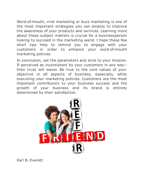Word-of-mouth, viral marketing or buzz marketing is one of the most important strategies you can employ to improve the awareness of your products and services. Learning more about these subject matters is crucial for a businessperson looking to succeed in the marketing world. I hope these few short tips help to remind you to engage with your customers in order to enhance your word-of-mouth marketing policies.

In conclusion, set the parameters and stick to your mission. If perceived as inconsistent by your customers in any way- their trust will waver. Be true to the core values of your objective in all aspects of business, especially, while executing your marketing policies. Customers are the most important contributors to your business success and the growth of your business and its brand is entirely determined by their satisfaction.



Earl B. Everett